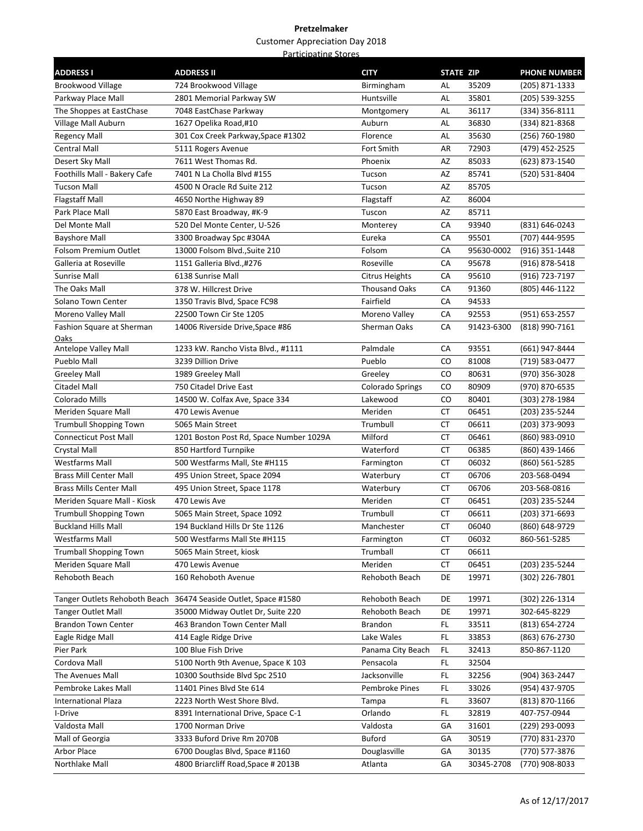| <b>ADDRESS I</b>                 | <b>ADDRESS II</b>                                               | <b>CITY</b>             | STATE ZIP |            | <b>PHONE NUMBER</b>              |
|----------------------------------|-----------------------------------------------------------------|-------------------------|-----------|------------|----------------------------------|
| <b>Brookwood Village</b>         | 724 Brookwood Village                                           | Birmingham              | AL        | 35209      | (205) 871-1333                   |
| Parkway Place Mall               | 2801 Memorial Parkway SW                                        | Huntsville              | AL        | 35801      | (205) 539-3255                   |
| The Shoppes at EastChase         | 7048 EastChase Parkway                                          | Montgomery              | AL        | 36117      | (334) 356-8111                   |
| Village Mall Auburn              | 1627 Opelika Road,#10                                           | Auburn                  | AL        | 36830      | (334) 821-8368                   |
| Regency Mall                     | 301 Cox Creek Parkway, Space #1302                              | Florence                | AL        | 35630      | (256) 760-1980                   |
| <b>Central Mall</b>              | 5111 Rogers Avenue                                              | Fort Smith              | AR        | 72903      | (479) 452-2525                   |
| Desert Sky Mall                  | 7611 West Thomas Rd.                                            | Phoenix                 | AZ        | 85033      | (623) 873-1540                   |
| Foothills Mall - Bakery Cafe     | 7401 N La Cholla Blvd #155                                      | Tucson                  | AZ        | 85741      | (520) 531-8404                   |
| <b>Tucson Mall</b>               | 4500 N Oracle Rd Suite 212                                      | Tucson                  | AZ        | 85705      |                                  |
| <b>Flagstaff Mall</b>            | 4650 Northe Highway 89                                          | Flagstaff               | AZ        | 86004      |                                  |
| Park Place Mall                  | 5870 East Broadway, #K-9                                        | Tuscon                  | AZ        | 85711      |                                  |
| Del Monte Mall                   | 520 Del Monte Center, U-526                                     | Monterey                | CA        | 93940      | (831) 646-0243                   |
| <b>Bayshore Mall</b>             | 3300 Broadway Spc #304A                                         | Eureka                  | CA        | 95501      | (707) 444-9595                   |
| Folsom Premium Outlet            | 13000 Folsom Blvd., Suite 210                                   | Folsom                  | CA        | 95630-0002 | (916) 351-1448                   |
| Galleria at Roseville            | 1151 Galleria Blvd.,#276                                        | Roseville               | CA        | 95678      | (916) 878-5418                   |
| <b>Sunrise Mall</b>              | 6138 Sunrise Mall                                               | Citrus Heights          | CA        | 95610      | (916) 723-7197                   |
| The Oaks Mall                    | 378 W. Hillcrest Drive                                          | <b>Thousand Oaks</b>    | CA        | 91360      | (805) 446-1122                   |
| Solano Town Center               | 1350 Travis Blvd, Space FC98                                    | Fairfield               | CA        | 94533      |                                  |
| Moreno Valley Mall               | 22500 Town Cir Ste 1205                                         | Moreno Valley           | CA        | 92553      | (951) 653-2557                   |
| <b>Fashion Square at Sherman</b> | 14006 Riverside Drive, Space #86                                | Sherman Oaks            | CA        | 91423-6300 | (818) 990-7161                   |
| Oaks<br>Antelope Valley Mall     | 1233 kW. Rancho Vista Blvd., #1111                              | Palmdale                | CA        | 93551      | (661) 947-8444                   |
| Pueblo Mall                      | 3239 Dillion Drive                                              | Pueblo                  | CO        | 81008      | (719) 583-0477                   |
| <b>Greeley Mall</b>              | 1989 Greeley Mall                                               | Greeley                 | CO        | 80631      |                                  |
| Citadel Mall                     | 750 Citadel Drive East                                          | <b>Colorado Springs</b> | CO        | 80909      | (970) 356-3028<br>(970) 870-6535 |
| Colorado Mills                   | 14500 W. Colfax Ave, Space 334                                  | Lakewood                | CO        | 80401      |                                  |
| Meriden Square Mall              | 470 Lewis Avenue                                                | Meriden                 | СT        | 06451      | (303) 278-1984<br>(203) 235-5244 |
| <b>Trumbull Shopping Town</b>    | 5065 Main Street                                                | Trumbull                | СT        | 06611      | (203) 373-9093                   |
| <b>Connecticut Post Mall</b>     | 1201 Boston Post Rd, Space Number 1029A                         | Milford                 | СT        | 06461      | (860) 983-0910                   |
| Crystal Mall                     | 850 Hartford Turnpike                                           | Waterford               | СT        | 06385      | (860) 439-1466                   |
| Westfarms Mall                   | 500 Westfarms Mall, Ste #H115                                   | Farmington              | CT        | 06032      | (860) 561-5285                   |
| <b>Brass Mill Center Mall</b>    | 495 Union Street, Space 2094                                    | Waterbury               | CT        | 06706      | 203-568-0494                     |
| <b>Brass Mills Center Mall</b>   | 495 Union Street, Space 1178                                    | Waterbury               | СT        | 06706      | 203-568-0816                     |
| Meriden Square Mall - Kiosk      | 470 Lewis Ave                                                   | Meriden                 | СT        | 06451      | (203) 235-5244                   |
| <b>Trumbull Shopping Town</b>    | 5065 Main Street, Space 1092                                    | Trumbull                | СT        | 06611      | (203) 371-6693                   |
| <b>Buckland Hills Mall</b>       | 194 Buckland Hills Dr Ste 1126                                  | Manchester              | СT        | 06040      | (860) 648-9729                   |
| <b>Westfarms Mall</b>            | 500 Westfarms Mall Ste #H115                                    | Farmington              | CT        | 06032      | 860-561-5285                     |
| <b>Trumball Shopping Town</b>    | 5065 Main Street, kiosk                                         | Trumball                | СT        | 06611      |                                  |
| Meriden Square Mall              | 470 Lewis Avenue                                                | Meriden                 | СT        | 06451      | (203) 235-5244                   |
| Rehoboth Beach                   | 160 Rehoboth Avenue                                             | Rehoboth Beach          | DE        | 19971      | (302) 226-7801                   |
|                                  |                                                                 |                         |           |            |                                  |
|                                  | Tanger Outlets Rehoboth Beach 36474 Seaside Outlet, Space #1580 | Rehoboth Beach          | DE        | 19971      | (302) 226-1314                   |
| <b>Tanger Outlet Mall</b>        | 35000 Midway Outlet Dr, Suite 220                               | Rehoboth Beach          | DE        | 19971      | 302-645-8229                     |
| <b>Brandon Town Center</b>       | 463 Brandon Town Center Mall                                    | Brandon                 | FL        | 33511      | (813) 654-2724                   |
| Eagle Ridge Mall                 | 414 Eagle Ridge Drive                                           | Lake Wales              | FL        | 33853      | (863) 676-2730                   |
| Pier Park                        | 100 Blue Fish Drive                                             | Panama City Beach       | FL        | 32413      | 850-867-1120                     |
| Cordova Mall                     | 5100 North 9th Avenue, Space K 103                              | Pensacola               | FL        | 32504      |                                  |
| The Avenues Mall                 | 10300 Southside Blvd Spc 2510                                   | Jacksonville            | FL        | 32256      | (904) 363-2447                   |
| Pembroke Lakes Mall              | 11401 Pines Blvd Ste 614                                        | Pembroke Pines          | FL        | 33026      | (954) 437-9705                   |
| <b>International Plaza</b>       | 2223 North West Shore Blvd.                                     | Tampa                   | FL        | 33607      | (813) 870-1166                   |
| I-Drive                          | 8391 International Drive, Space C-1                             | Orlando                 | FL        | 32819      | 407-757-0944                     |
| Valdosta Mall                    | 1700 Norman Drive                                               | Valdosta                | GA        | 31601      | (229) 293-0093                   |
| Mall of Georgia                  | 3333 Buford Drive Rm 2070B                                      | Buford                  | GА        | 30519      | (770) 831-2370                   |
| Arbor Place                      | 6700 Douglas Blvd, Space #1160                                  | Douglasville            | GА        | 30135      | (770) 577-3876                   |
| Northlake Mall                   | 4800 Briarcliff Road, Space # 2013B                             | Atlanta                 | GА        | 30345-2708 | (770) 908-8033                   |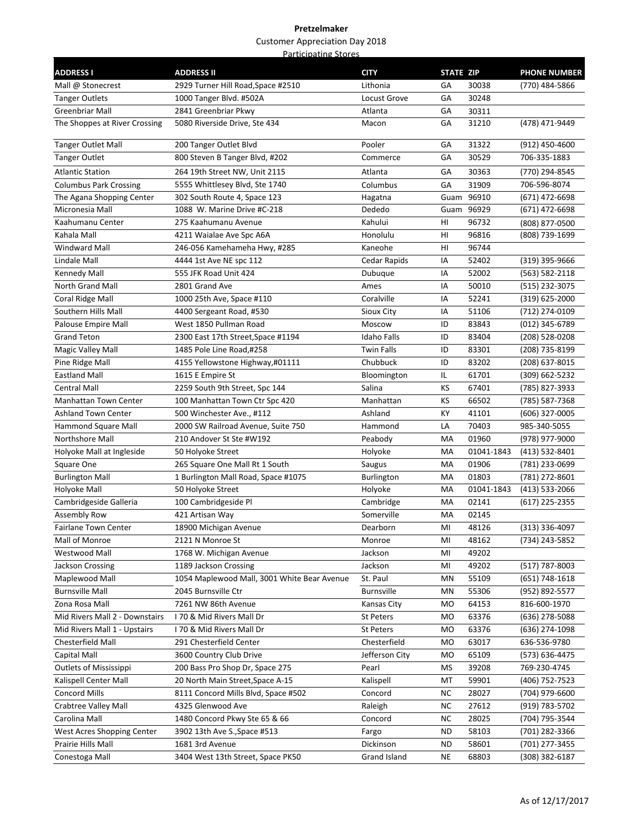| <b>ADDRESS I</b>               | <b>ADDRESS II</b>                           | <b>CITY</b>        | <b>STATE ZIP</b> |            | <b>PHONE NUMBER</b> |
|--------------------------------|---------------------------------------------|--------------------|------------------|------------|---------------------|
| Mall @ Stonecrest              | 2929 Turner Hill Road, Space #2510          | Lithonia           | GA               | 30038      | (770) 484-5866      |
| <b>Tanger Outlets</b>          | 1000 Tanger Blvd. #502A                     | Locust Grove       | GA               | 30248      |                     |
| Greenbriar Mall                | 2841 Greenbriar Pkwy                        | Atlanta            | GА               | 30311      |                     |
| The Shoppes at River Crossing  | 5080 Riverside Drive, Ste 434               | Macon              | GА               | 31210      | (478) 471-9449      |
| <b>Tanger Outlet Mall</b>      | 200 Tanger Outlet Blvd                      | Pooler             | GA               | 31322      | (912) 450-4600      |
| <b>Tanger Outlet</b>           | 800 Steven B Tanger Blvd, #202              | Commerce           | GA               | 30529      | 706-335-1883        |
| Atlantic Station               | 264 19th Street NW, Unit 2115               | Atlanta            | GA               | 30363      | (770) 294-8545      |
| <b>Columbus Park Crossing</b>  | 5555 Whittlesey Blvd, Ste 1740              | Columbus           | GA               | 31909      | 706-596-8074        |
| The Agana Shopping Center      | 302 South Route 4, Space 123                | Hagatna            |                  | Guam 96910 | (671) 472-6698      |
| Micronesia Mall                | 1088 W. Marine Drive #C-218                 | Dededo             |                  | Guam 96929 | (671) 472-6698      |
| Kaahumanu Center               | 275 Kaahumanu Avenue                        | Kahului            | HI               | 96732      | (808) 877-0500      |
| Kahala Mall                    | 4211 Waialae Ave Spc A6A                    | Honolulu           | HI               | 96816      | (808) 739-1699      |
| <b>Windward Mall</b>           | 246-056 Kamehameha Hwy, #285                | Kaneohe            | HI               | 96744      |                     |
| Lindale Mall                   | 4444 1st Ave NE spc 112                     | Cedar Rapids       | IA               | 52402      | (319) 395-9666      |
| Kennedy Mall                   | 555 JFK Road Unit 424                       | Dubuque            | ΙA               | 52002      | (563) 582-2118      |
| North Grand Mall               | 2801 Grand Ave                              | Ames               | IA               | 50010      | (515) 232-3075      |
| Coral Ridge Mall               | 1000 25th Ave, Space #110                   | Coralville         | ΙA               | 52241      | (319) 625-2000      |
| Southern Hills Mall            | 4400 Sergeant Road, #530                    | Sioux City         | IA               | 51106      | (712) 274-0109      |
| Palouse Empire Mall            | West 1850 Pullman Road                      | Moscow             | ID               | 83843      | (012) 345-6789      |
| <b>Grand Teton</b>             | 2300 East 17th Street, Space #1194          | Idaho Falls        | ID               | 83404      | (208) 528-0208      |
| Magic Valley Mall              | 1485 Pole Line Road,#258                    | <b>Twin Falls</b>  | ID               | 83301      | (208) 735-8199      |
| Pine Ridge Mall                | 4155 Yellowstone Highway,#01111             | Chubbuck           | ID               | 83202      | (208) 637-8015      |
| <b>Eastland Mall</b>           | 1615 E Empire St                            | Bloomington        | IL.              | 61701      | (309) 662-5232      |
| Central Mall                   | 2259 South 9th Street, Spc 144              | Salina             | KS               | 67401      | (785) 827-3933      |
| <b>Manhattan Town Center</b>   | 100 Manhattan Town Ctr Spc 420              | Manhattan          | КS               | 66502      | (785) 587-7368      |
| <b>Ashland Town Center</b>     | 500 Winchester Ave., #112                   | Ashland            | КY               | 41101      | (606) 327-0005      |
| Hammond Square Mall            | 2000 SW Railroad Avenue, Suite 750          | Hammond            | LA               | 70403      | 985-340-5055        |
| Northshore Mall                | 210 Andover St Ste #W192                    | Peabody            | МA               | 01960      | (978) 977-9000      |
| Holyoke Mall at Ingleside      | 50 Holyoke Street                           | Holyoke            | МA               | 01041-1843 | (413) 532-8401      |
| Square One                     | 265 Square One Mall Rt 1 South              | Saugus             | МA               | 01906      | (781) 233-0699      |
| <b>Burlington Mall</b>         | 1 Burlington Mall Road, Space #1075         | Burlington         | МA               | 01803      | (781) 272-8601      |
| Holyoke Mall                   | 50 Holyoke Street                           | Holyoke            | MA               | 01041-1843 | (413) 533-2066      |
| Cambridgeside Galleria         | 100 Cambridgeside Pl                        | Cambridge          | MA               | 02141      | (617) 225-2355      |
| <b>Assembly Row</b>            | 421 Artisan Way                             | Somerville         | МA               | 02145      |                     |
| Fairlane Town Center           | 18900 Michigan Avenue                       | Dearborn           | MI               | 48126      | (313) 336-4097      |
| Mall of Monroe                 | 2121 N Monroe St                            | Monroe             | MI               | 48162      | (734) 243-5852      |
| Westwood Mall                  | 1768 W. Michigan Avenue                     | Jackson            | MI               | 49202      |                     |
| Jackson Crossing               | 1189 Jackson Crossing                       | Jackson            | MI               | 49202      | (517) 787-8003      |
| Maplewood Mall                 | 1054 Maplewood Mall, 3001 White Bear Avenue | St. Paul           | ΜN               | 55109      | (651) 748-1618      |
| <b>Burnsville Mall</b>         | 2045 Burnsville Ctr                         | <b>Burnsville</b>  | ΜN               | 55306      | (952) 892-5577      |
| Zona Rosa Mall                 | 7261 NW 86th Avenue                         | Kansas City        | МO               | 64153      | 816-600-1970        |
| Mid Rivers Mall 2 - Downstairs | 170 & Mid Rivers Mall Dr                    | <b>St Peters</b>   | MO               | 63376      | (636) 278-5088      |
| Mid Rivers Mall 1 - Upstairs   | 170 & Mid Rivers Mall Dr                    | St Peters          | MO               | 63376      | (636) 274-1098      |
| Chesterfield Mall              | 291 Chesterfield Center                     | Chesterfield       | MO               | 63017      | 636-536-9780        |
| Capital Mall                   | 3600 Country Club Drive                     | Jefferson City     | MO               | 65109      | (573) 636-4475      |
| Outlets of Mississippi         | 200 Bass Pro Shop Dr, Space 275             | Pearl              | MS               | 39208      | 769-230-4745        |
| Kalispell Center Mall          | 20 North Main Street, Space A-15            | Kalispell          | МT               | 59901      | (406) 752-7523      |
| <b>Concord Mills</b>           | 8111 Concord Mills Blvd, Space #502         | Concord            | ΝC               | 28027      | (704) 979-6600      |
| Crabtree Valley Mall           | 4325 Glenwood Ave                           | Raleigh            | ΝC               | 27612      | (919) 783-5702      |
| Carolina Mall                  | 1480 Concord Pkwy Ste 65 & 66               | Concord            | ΝC               | 28025      | (704) 795-3544      |
| West Acres Shopping Center     | 3902 13th Ave S., Space #513                |                    | ND               | 58103      | (701) 282-3366      |
| Prairie Hills Mall             | 1681 3rd Avenue                             | Fargo<br>Dickinson | ND               | 58601      | (701) 277-3455      |
|                                |                                             |                    |                  |            |                     |
| Conestoga Mall                 | 3404 West 13th Street, Space PK50           | Grand Island       | NE               | 68803      | (308) 382-6187      |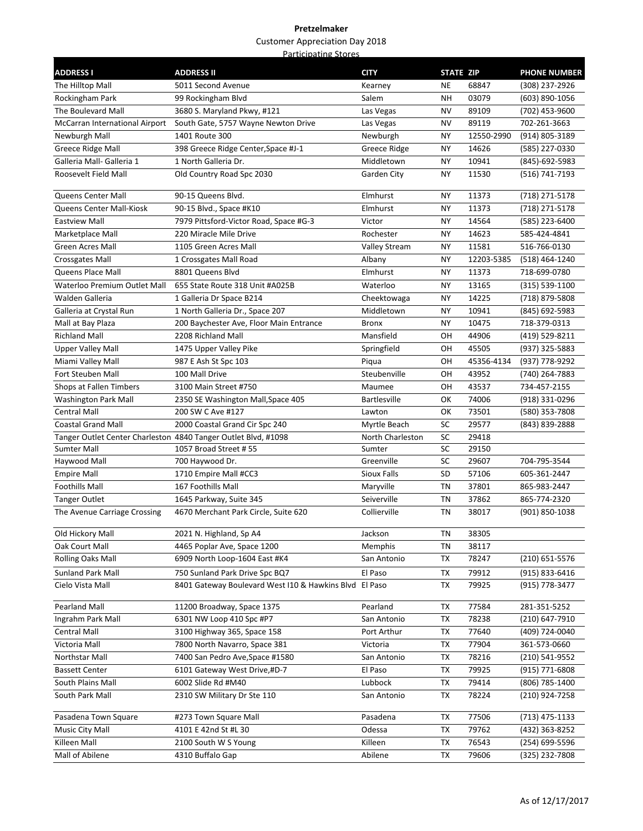| <b>ADDRESS I</b>                                               | <b>ADDRESS II</b>                              | <b>CITY</b>         | STATE ZIP |            | <b>PHONE NUMBER</b> |
|----------------------------------------------------------------|------------------------------------------------|---------------------|-----------|------------|---------------------|
| The Hilltop Mall                                               | 5011 Second Avenue                             | Kearney             | <b>NE</b> | 68847      | (308) 237-2926      |
| Rockingham Park                                                | 99 Rockingham Blvd                             | Salem               | NΗ        | 03079      | (603) 890-1056      |
| The Boulevard Mall                                             | 3680 S. Maryland Pkwy, #121                    | Las Vegas           | <b>NV</b> | 89109      | (702) 453-9600      |
| McCarran International Airport                                 | South Gate, 5757 Wayne Newton Drive            | Las Vegas           | NV        | 89119      | 702-261-3663        |
| Newburgh Mall                                                  | 1401 Route 300                                 | Newburgh            | NY        | 12550-2990 | (914) 805-3189      |
| Greece Ridge Mall                                              | 398 Greece Ridge Center, Space #J-1            | Greece Ridge        | NY        | 14626      | (585) 227-0330      |
| Galleria Mall- Galleria 1                                      | 1 North Galleria Dr.                           | Middletown          | NY        | 10941      | (845)-692-5983      |
| Roosevelt Field Mall                                           | Old Country Road Spc 2030                      | Garden City         | NΥ        | 11530      | (516) 741-7193      |
| Queens Center Mall                                             | 90-15 Queens Blvd.                             | Elmhurst            | <b>NY</b> | 11373      | (718) 271-5178      |
| Queens Center Mall-Kiosk                                       | 90-15 Blvd., Space #K10                        | Elmhurst            | NY        | 11373      | (718) 271-5178      |
| <b>Eastview Mall</b>                                           | 7979 Pittsford-Victor Road, Space #G-3         | Victor              | NY        | 14564      | (585) 223-6400      |
| Marketplace Mall                                               | 220 Miracle Mile Drive                         | Rochester           | NY        | 14623      | 585-424-4841        |
| <b>Green Acres Mall</b>                                        | 1105 Green Acres Mall                          | Valley Stream       | NY        | 11581      | 516-766-0130        |
| Crossgates Mall                                                | 1 Crossgates Mall Road                         | Albany              | NY        | 12203-5385 | (518) 464-1240      |
| Queens Place Mall                                              | 8801 Queens Blvd                               | Elmhurst            | NY        | 11373      | 718-699-0780        |
| Waterloo Premium Outlet Mall                                   | 655 State Route 318 Unit #A025B                | Waterloo            | <b>NY</b> | 13165      | (315) 539-1100      |
| Walden Galleria                                                | 1 Galleria Dr Space B214                       | Cheektowaga         | NY        | 14225      | (718) 879-5808      |
| Galleria at Crystal Run                                        | 1 North Galleria Dr., Space 207                | Middletown          | NΥ        | 10941      | (845) 692-5983      |
| Mall at Bay Plaza                                              | 200 Baychester Ave, Floor Main Entrance        | <b>Bronx</b>        | NY        | 10475      | 718-379-0313        |
| <b>Richland Mall</b>                                           | 2208 Richland Mall                             | Mansfield           | OН        | 44906      | (419) 529-8211      |
| <b>Upper Valley Mall</b>                                       | 1475 Upper Valley Pike                         | Springfield         | OН        | 45505      | (937) 325-5883      |
| Miami Valley Mall                                              | 987 E Ash St Spc 103                           | Piqua               | OН        | 45356-4134 | (937) 778-9292      |
| Fort Steuben Mall                                              | 100 Mall Drive                                 | Steubenville        | OН        | 43952      | (740) 264-7883      |
| Shops at Fallen Timbers                                        | 3100 Main Street #750                          | Maumee              | OН        | 43537      | 734-457-2155        |
| Washington Park Mall                                           | 2350 SE Washington Mall, Space 405             | <b>Bartlesville</b> | ОΚ        | 74006      | (918) 331-0296      |
| <b>Central Mall</b>                                            | 200 SW C Ave #127                              | Lawton              | ОΚ        | 73501      | (580) 353-7808      |
| <b>Coastal Grand Mall</b>                                      | 2000 Coastal Grand Cir Spc 240                 | Myrtle Beach        | SC        | 29577      | (843) 839-2888      |
| Tanger Outlet Center Charleston 4840 Tanger Outlet Blvd, #1098 |                                                | North Charleston    | SC        | 29418      |                     |
| Sumter Mall                                                    | 1057 Broad Street # 55                         | Sumter              | SC        | 29150      |                     |
| Haywood Mall                                                   | 700 Haywood Dr.                                | Greenville          | SC        | 29607      | 704-795-3544        |
| <b>Empire Mall</b>                                             | 1710 Empire Mall #CC3                          | Sioux Falls         | SD        | 57106      | 605-361-2447        |
| <b>Foothills Mall</b>                                          | 167 Foothills Mall                             | Maryville           | TN        | 37801      | 865-983-2447        |
| <b>Tanger Outlet</b>                                           | 1645 Parkway, Suite 345                        | Seiverville         | ΤN        | 37862      | 865-774-2320        |
| The Avenue Carriage Crossing                                   | 4670 Merchant Park Circle, Suite 620           | Collierville        | ΤN        | 38017      | (901) 850-1038      |
| Old Hickory Mall                                               | 2021 N. Highland, Sp A4                        | Jackson             | ΤN        | 38305      |                     |
| Oak Court Mall                                                 | 4465 Poplar Ave, Space 1200                    | Memphis             | TN        | 38117      |                     |
| <b>Rolling Oaks Mall</b>                                       | 6909 North Loop-1604 East #K4                  | San Antonio         | TX        | 78247      | (210) 651-5576      |
| <b>Sunland Park Mall</b>                                       | 750 Sunland Park Drive Spc BQ7                 | El Paso             | TX        | 79912      | (915) 833-6416      |
| Cielo Vista Mall                                               | 8401 Gateway Boulevard West I10 & Hawkins Blvd | El Paso             | ТX        | 79925      | (915) 778-3477      |
| Pearland Mall                                                  | 11200 Broadway, Space 1375                     | Pearland            | TX        | 77584      | 281-351-5252        |
| Ingrahm Park Mall                                              | 6301 NW Loop 410 Spc #P7                       | San Antonio         | TX        | 78238      | (210) 647-7910      |
| <b>Central Mall</b>                                            | 3100 Highway 365, Space 158                    | Port Arthur         | ТX        | 77640      | (409) 724-0040      |
| Victoria Mall                                                  | 7800 North Navarro, Space 381                  | Victoria            | ТX        | 77904      | 361-573-0660        |
| Northstar Mall                                                 | 7400 San Pedro Ave, Space #1580                | San Antonio         | ТX        | 78216      | (210) 541-9552      |
| <b>Bassett Center</b>                                          | 6101 Gateway West Drive,#D-7                   | El Paso             | TX        | 79925      | (915) 771-6808      |
| South Plains Mall                                              | 6002 Slide Rd #M40                             | Lubbock             | TX        | 79414      | (806) 785-1400      |
| South Park Mall                                                | 2310 SW Military Dr Ste 110                    | San Antonio         | ТX        | 78224      | (210) 924-7258      |
| Pasadena Town Square                                           | #273 Town Square Mall                          | Pasadena            | TX        | 77506      | $(713)$ 475-1133    |
| Music City Mall                                                | 4101 E 42nd St #L 30                           | Odessa              | TX        | 79762      | (432) 363-8252      |
| Killeen Mall                                                   | 2100 South W S Young                           | Killeen             | TX        | 76543      | (254) 699-5596      |
| Mall of Abilene                                                | 4310 Buffalo Gap                               | Abilene             | TX        | 79606      | (325) 232-7808      |
|                                                                |                                                |                     |           |            |                     |